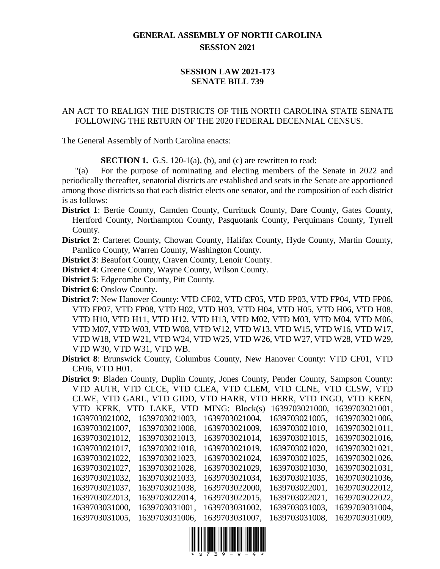## **GENERAL ASSEMBLY OF NORTH CAROLINA SESSION 2021**

## **SESSION LAW 2021-173 SENATE BILL 739**

## AN ACT TO REALIGN THE DISTRICTS OF THE NORTH CAROLINA STATE SENATE FOLLOWING THE RETURN OF THE 2020 FEDERAL DECENNIAL CENSUS.

The General Assembly of North Carolina enacts:

**SECTION 1.** G.S. 120-1(a), (b), and (c) are rewritten to read:

"(a) For the purpose of nominating and electing members of the Senate in 2022 and periodically thereafter, senatorial districts are established and seats in the Senate are apportioned among those districts so that each district elects one senator, and the composition of each district is as follows:

**District 1**: Bertie County, Camden County, Currituck County, Dare County, Gates County, Hertford County, Northampton County, Pasquotank County, Perquimans County, Tyrrell County.

**District 2**: Carteret County, Chowan County, Halifax County, Hyde County, Martin County, Pamlico County, Warren County, Washington County.

**District 3**: Beaufort County, Craven County, Lenoir County.

- **District 4**: Greene County, Wayne County, Wilson County.
- **District 5**: Edgecombe County, Pitt County.
- **District 6**: Onslow County.
- **District 7**: New Hanover County: VTD CF02, VTD CF05, VTD FP03, VTD FP04, VTD FP06, VTD FP07, VTD FP08, VTD H02, VTD H03, VTD H04, VTD H05, VTD H06, VTD H08, VTD H10, VTD H11, VTD H12, VTD H13, VTD M02, VTD M03, VTD M04, VTD M06, VTD M07, VTD W03, VTD W08, VTD W12, VTD W13, VTD W15, VTD W16, VTD W17, VTD W18, VTD W21, VTD W24, VTD W25, VTD W26, VTD W27, VTD W28, VTD W29, VTD W30, VTD W31, VTD WB.
- **District 8**: Brunswick County, Columbus County, New Hanover County: VTD CF01, VTD CF06, VTD H01.
- **District 9**: Bladen County, Duplin County, Jones County, Pender County, Sampson County: VTD AUTR, VTD CLCE, VTD CLEA, VTD CLEM, VTD CLNE, VTD CLSW, VTD CLWE, VTD GARL, VTD GIDD, VTD HARR, VTD HERR, VTD INGO, VTD KEEN, VTD KFRK, VTD LAKE, VTD MING: Block(s) 1639703021000, 1639703021001, 1639703021002, 1639703021003, 1639703021004, 1639703021005, 1639703021006, 1639703021007, 1639703021008, 1639703021009, 1639703021010, 1639703021011, 1639703021012, 1639703021013, 1639703021014, 1639703021015, 1639703021016, 1639703021017, 1639703021018, 1639703021019, 1639703021020, 1639703021021, 1639703021022, 1639703021023, 1639703021024, 1639703021025, 1639703021026, 1639703021027, 1639703021028, 1639703021029, 1639703021030, 1639703021031, 1639703021032, 1639703021033, 1639703021034, 1639703021035, 1639703021036, 1639703021037, 1639703021038, 1639703022000, 1639703022001, 1639703022012, 1639703022013, 1639703022014, 1639703022015, 1639703022021, 1639703022022, 1639703031000, 1639703031001, 1639703031002, 1639703031003, 1639703031004, 1639703031005, 1639703031006, 1639703031007, 1639703031008, 1639703031009,

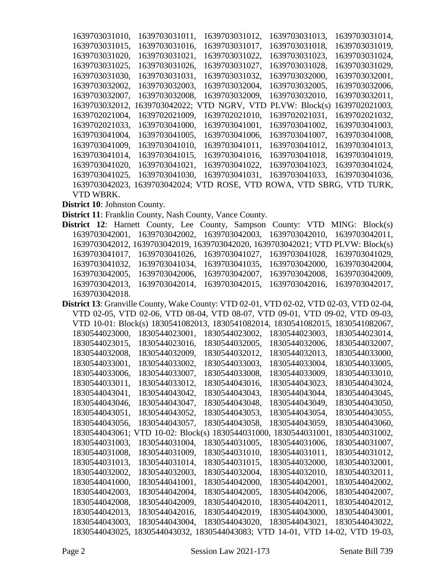| 1639703031010. | 1639703031011,                              | 1639703031012. | 1639703031013.            | 1639703031014, |
|----------------|---------------------------------------------|----------------|---------------------------|----------------|
| 1639703031015, | 1639703031016.                              | 1639703031017, | 1639703031018.            | 1639703031019. |
| 1639703031020, | 1639703031021,                              | 1639703031022. | 1639703031023.            | 1639703031024, |
| 1639703031025, | 1639703031026,                              | 1639703031027. | 1639703031028.            | 1639703031029. |
| 1639703031030, | 1639703031031,                              | 1639703031032. | 1639703032000,            | 1639703032001, |
| 1639703032002, | 1639703032003,                              | 1639703032004, | 1639703032005,            | 1639703032006, |
| 1639703032007, | 1639703032008.                              | 1639703032009. | 1639703032010,            | 1639703032011, |
| 1639703032012, | 1639703042022;<br>V                         | TD NGRV, VTD   | PLVW: Block(s)            | 1639702021003. |
| 1639702021004, | 1639702021009.                              | 1639702021010, | 1639702021031,            | 1639702021032. |
| 1639702021033, | 1639703041000,                              | 1639703041001, | 1639703041002.            | 1639703041003. |
| 1639703041004, | 1639703041005.                              | 1639703041006, | 1639703041007.            | 1639703041008, |
| 1639703041009, | 1639703041010.                              | 1639703041011, | 1639703041012.            | 1639703041013. |
| 1639703041014. | 1639703041015.                              | 1639703041016, | 1639703041018,            | 1639703041019. |
| 1639703041020, | 1639703041021,                              | 1639703041022, | 1639703041023.            | 1639703041024, |
| 1639703041025, | 1639703041030.                              | 1639703041031. | 1639703041033.            | 1639703041036, |
|                | 1639703042023, 1639703042024; VTD ROSE, VTD |                | ROWA, VTD SBRG, VTD TURK, |                |
| VTD WBRK.      |                                             |                |                           |                |

**District 10**: Johnston County.

- **District 11**: Franklin County, Nash County, Vance County.
- **District 12**: Harnett County, Lee County, Sampson County: VTD MING: Block(s) 1639703042001, 1639703042002, 1639703042003, 1639703042010, 1639703042011, 1639703042012, 1639703042019, 1639703042020, 1639703042021; VTD PLVW: Block(s) 1639703041017, 1639703041026, 1639703041027, 1639703041028, 1639703041029, 1639703041032, 1639703041034, 1639703041035, 1639703042000, 1639703042004, 1639703042005, 1639703042006, 1639703042007, 1639703042008, 1639703042009, 1639703042013, 1639703042014, 1639703042015, 1639703042016, 1639703042017, 1639703042018.

| District 13: Granville County, Wake County: VTD 02-01, VTD 02-02, VTD 02-03, VTD 02-04, |                |                                                                                 |                                |                |
|-----------------------------------------------------------------------------------------|----------------|---------------------------------------------------------------------------------|--------------------------------|----------------|
|                                                                                         |                | VTD 02-05, VTD 02-06, VTD 08-04, VTD 08-07, VTD 09-01, VTD 09-02, VTD 09-03,    |                                |                |
|                                                                                         |                | VTD 10-01: Block(s) 1830541082013, 1830541082014, 1830541082015, 1830541082067, |                                |                |
| 1830544023000,                                                                          | 1830544023001, | 1830544023002.                                                                  | 1830544023003,                 | 1830544023014, |
| 1830544023015,                                                                          | 1830544023016, | 1830544032005,                                                                  | 1830544032006,                 | 1830544032007, |
| 1830544032008,                                                                          | 1830544032009, | 1830544032012,                                                                  | 1830544032013,                 | 1830544033000, |
| 1830544033001.                                                                          | 1830544033002. | 1830544033003.                                                                  | 1830544033004.                 | 1830544033005. |
| 1830544033006.                                                                          | 1830544033007, | 1830544033008.                                                                  | 1830544033009.                 | 1830544033010. |
| 1830544033011,                                                                          | 1830544033012, | 1830544043016,                                                                  | 1830544043023,                 | 1830544043024, |
| 1830544043041.                                                                          | 1830544043042. | 1830544043043.                                                                  | 1830544043044.                 | 1830544043045. |
| 1830544043046.                                                                          | 1830544043047. | 1830544043048.                                                                  | 1830544043049.                 | 1830544043050. |
| 1830544043051.                                                                          | 1830544043052. | 1830544043053.                                                                  | 1830544043054.                 | 1830544043055. |
| 1830544043056,                                                                          | 1830544043057. | 1830544043058.                                                                  | 1830544043059.                 | 1830544043060, |
| 1830544043061:                                                                          |                | VTD 10-02: Block(s) 1830544031000, 1830544031001,                               |                                | 1830544031002, |
| 1830544031003.                                                                          | 1830544031004, | 1830544031005.                                                                  | 1830544031006.                 | 1830544031007. |
| 1830544031008,                                                                          | 1830544031009. | 1830544031010.                                                                  | 1830544031011.                 | 1830544031012. |
| 1830544031013.                                                                          | 1830544031014, | 1830544031015.                                                                  | 1830544032000.                 | 1830544032001. |
| 1830544032002,                                                                          | 1830544032003. | 1830544032004.                                                                  | 1830544032010.                 | 1830544032011. |
| 1830544041000.                                                                          | 1830544041001. | 1830544042000.                                                                  | 1830544042001.                 | 1830544042002. |
| 1830544042003.                                                                          | 1830544042004. | 1830544042005.                                                                  | 1830544042006.                 | 1830544042007. |
| 1830544042008.                                                                          | 1830544042009. | 1830544042010.                                                                  | 1830544042011.                 | 1830544042012. |
| 1830544042013.                                                                          | 1830544042016. | 1830544042019.                                                                  | 1830544043000.                 | 1830544043001. |
| 1830544043003.                                                                          | 1830544043004. | 1830544043020.                                                                  | 1830544043021.                 | 1830544043022. |
| 1830544043025.                                                                          | 830544043032,  | 1830544043083;                                                                  | D 14-01, VTD 14-02, VTD 19-03, |                |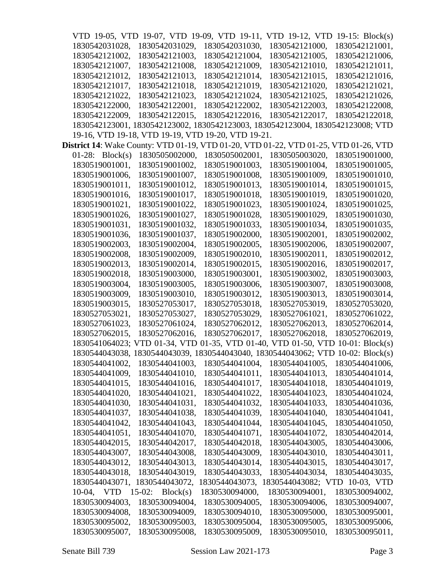|                                                                                              | VTD 19-05, VTD 19-07, VTD 19-09, VTD 19-11,                                     |                | VTD 19-12, VTD                               | 19-15: $Block(s)$ |
|----------------------------------------------------------------------------------------------|---------------------------------------------------------------------------------|----------------|----------------------------------------------|-------------------|
| 1830542031028,                                                                               | 1830542031029,                                                                  | 1830542031030, | 1830542121000,                               | 1830542121001,    |
| 1830542121002,                                                                               | 1830542121003,                                                                  | 1830542121004, | 1830542121005,                               | 1830542121006,    |
| 1830542121007,                                                                               | 1830542121008,                                                                  | 1830542121009, | 1830542121010,                               | 1830542121011,    |
| 1830542121012.                                                                               | 1830542121013,                                                                  | 1830542121014, | 1830542121015.                               | 1830542121016,    |
| 1830542121017,                                                                               | 1830542121018,                                                                  | 1830542121019, | 1830542121020,                               | 1830542121021,    |
| 1830542121022,                                                                               | 1830542121023,                                                                  | 1830542121024, | 1830542121025,                               | 1830542121026,    |
| 1830542122000,                                                                               | 1830542122001,                                                                  | 1830542122002, | 1830542122003,                               | 1830542122008,    |
| 1830542122009,                                                                               | 1830542122015,                                                                  | 1830542122016, | 1830542122017,                               | 1830542122018,    |
|                                                                                              | 1830542123001, 1830542123002, 1830542123003, 1830542123004, 1830542123008; VTD  |                |                                              |                   |
|                                                                                              | 19-16, VTD 19-18, VTD 19-19, VTD 19-20, VTD 19-21.                              |                |                                              |                   |
| <b>District 14</b> : Wake County: VTD 01-19, VTD 01-20, VTD 01-22, VTD 01-25, VTD 01-26, VTD |                                                                                 |                |                                              |                   |
| 01-28: $Block(s)$                                                                            | 1830505002000,                                                                  | 1830505002001, | 1830505003020,                               | 1830519001000,    |
| 1830519001001,                                                                               | 1830519001002,                                                                  | 1830519001003, | 1830519001004,                               | 1830519001005,    |
| 1830519001006,                                                                               | 1830519001007,                                                                  | 1830519001008, | 1830519001009,                               | 1830519001010.    |
| 1830519001011,                                                                               | 1830519001012,                                                                  | 1830519001013, | 1830519001014,                               | 1830519001015,    |
| 1830519001016,                                                                               | 1830519001017,                                                                  | 1830519001018, | 1830519001019,                               | 1830519001020,    |
| 1830519001021,                                                                               | 1830519001022,                                                                  | 1830519001023, | 1830519001024,                               | 1830519001025.    |
| 1830519001026,                                                                               | 1830519001027,                                                                  | 1830519001028, | 1830519001029,                               | 1830519001030,    |
| 1830519001031,                                                                               | 1830519001032,                                                                  | 1830519001033, | 1830519001034,                               | 1830519001035,    |
| 1830519001036,                                                                               | 1830519001037,                                                                  | 1830519002000, | 1830519002001,                               | 1830519002002,    |
| 1830519002003,                                                                               | 1830519002004,                                                                  | 1830519002005, | 1830519002006,                               | 1830519002007,    |
| 1830519002008,                                                                               | 1830519002009,                                                                  | 1830519002010, | 1830519002011,                               | 1830519002012,    |
| 1830519002013,                                                                               | 1830519002014,                                                                  | 1830519002015, | 1830519002016,                               | 1830519002017,    |
| 1830519002018,                                                                               | 1830519003000,                                                                  | 1830519003001, | 1830519003002,                               | 1830519003003,    |
| 1830519003004,                                                                               | 1830519003005,                                                                  | 1830519003006, | 1830519003007,                               | 1830519003008,    |
| 1830519003009,                                                                               | 1830519003010,                                                                  | 1830519003012, | 1830519003013,                               | 1830519003014,    |
| 1830519003015,                                                                               | 1830527053017,                                                                  | 1830527053018, | 1830527053019,                               | 1830527053020,    |
| 1830527053021,                                                                               | 1830527053027,                                                                  | 1830527053029, | 1830527061021,                               | 1830527061022,    |
| 1830527061023,                                                                               | 1830527061024,                                                                  | 1830527062012, | 1830527062013,                               | 1830527062014,    |
| 1830527062015.                                                                               | 1830527062016,                                                                  | 1830527062017, | 1830527062018,                               | 1830527062019,    |
|                                                                                              | 1830541064023; VTD 01-34, VTD 01-35, VTD 01-40, VTD 01-50, VTD 10-01: Block(s)  |                |                                              |                   |
|                                                                                              | 1830544043038, 1830544043039, 1830544043040, 1830544043062; VTD 10-02: Block(s) |                |                                              |                   |
| 1830544041002,                                                                               | 1830544041003,                                                                  | 1830544041004, | 1830544041005,                               | 1830544041006,    |
| 1830544041009,                                                                               | 1830544041010,                                                                  | 1830544041011, | 1830544041013,                               | 1830544041014,    |
| 1830544041015,                                                                               | 1830544041016,                                                                  | 1830544041017, | 1830544041018,                               | 1830544041019,    |
| 1830544041020,                                                                               | 1830544041021,                                                                  | 1830544041022, | 1830544041023,                               | 1830544041024,    |
| 1830544041030,                                                                               | 1830544041031,                                                                  | 1830544041032, | 1830544041033,                               | 1830544041036,    |
| 1830544041037,                                                                               | 1830544041038,                                                                  | 1830544041039, | 1830544041040,                               | 1830544041041,    |
| 1830544041042,                                                                               | 1830544041043,                                                                  | 1830544041044, | 1830544041045,                               | 1830544041050,    |
| 1830544041051,                                                                               | 1830544041070,                                                                  | 1830544041071, | 1830544041072,                               | 1830544042014,    |
| 1830544042015,                                                                               | 1830544042017,                                                                  | 1830544042018, | 1830544043005,                               | 1830544043006,    |
| 1830544043007,                                                                               | 1830544043008,                                                                  | 1830544043009, | 1830544043010,                               | 1830544043011,    |
| 1830544043012,                                                                               | 1830544043013,                                                                  | 1830544043014, | 1830544043015,                               | 1830544043017,    |
| 1830544043018,                                                                               | 1830544043019,                                                                  | 1830544043033, | 1830544043034,                               | 1830544043035,    |
| 1830544043071,                                                                               | 1830544043072,                                                                  |                | 1830544043073, 1830544043082; VTD 10-03, VTD |                   |
| 10-04, VTD                                                                                   | $15-02$ : Block(s)                                                              | 1830530094000, | 1830530094001,                               | 1830530094002,    |
| 1830530094003,                                                                               | 1830530094004,                                                                  | 1830530094005, | 1830530094006,                               | 1830530094007,    |
| 1830530094008,                                                                               | 1830530094009,                                                                  | 1830530094010, | 1830530095000,                               | 1830530095001,    |
| 1830530095002,                                                                               | 1830530095003,                                                                  | 1830530095004, | 1830530095005,                               | 1830530095006,    |
| 1830530095007,                                                                               | 1830530095008,                                                                  | 1830530095009, | 1830530095010,                               | 1830530095011,    |
|                                                                                              |                                                                                 |                |                                              |                   |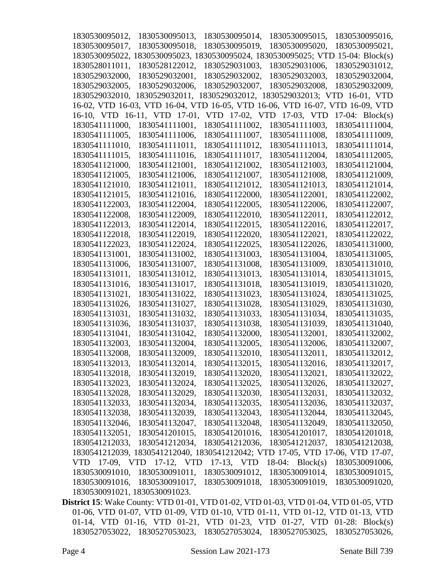| 1830530095012,                | 1830530095013,                                                                  | 1830530095014, | 1830530095015,                               | 1830530095016,    |
|-------------------------------|---------------------------------------------------------------------------------|----------------|----------------------------------------------|-------------------|
| 1830530095017,                | 1830530095018,                                                                  | 1830530095019, | 1830530095020,                               | 1830530095021,    |
|                               | 1830530095022, 1830530095023, 1830530095024, 1830530095025; VTD 15-04: Block(s) |                |                                              |                   |
| 1830528011011,                | 1830528122012,                                                                  | 1830529031003, | 1830529031006,                               | 1830529031012,    |
| 1830529032000,                | 1830529032001,                                                                  | 1830529032002, | 1830529032003,                               | 1830529032004,    |
| 1830529032005,                | 1830529032006,                                                                  | 1830529032007, | 1830529032008,                               | 1830529032009,    |
| 1830529032010,                | 1830529032011,                                                                  |                | 1830529032012, 1830529032013; VTD 16-01, VTD |                   |
|                               | 16-02, VTD 16-03, VTD 16-04, VTD 16-05, VTD 16-06, VTD 16-07, VTD 16-09, VTD    |                |                                              |                   |
|                               | 16-10, VTD 16-11, VTD 17-01,                                                    |                | VTD 17-02, VTD 17-03, VTD                    | 17-04: $Block(s)$ |
| 1830541111000,                | 1830541111001,                                                                  | 1830541111002, | 1830541111003,                               | 1830541111004,    |
| 1830541111005,                | 1830541111006,                                                                  | 1830541111007, | 1830541111008,                               | 1830541111009,    |
| 1830541111010,                | 1830541111011,                                                                  | 1830541111012, | 1830541111013,                               | 1830541111014,    |
| 1830541111015,                | 1830541111016,                                                                  | 1830541111017, | 1830541112004,                               | 1830541112005,    |
| 1830541121000,                | 1830541121001,                                                                  | 1830541121002, | 1830541121003,                               | 1830541121004,    |
| 1830541121005,                | 1830541121006,                                                                  | 1830541121007, | 1830541121008,                               | 1830541121009,    |
| 1830541121010,                | 1830541121011,                                                                  | 1830541121012, | 1830541121013,                               | 1830541121014,    |
| 1830541121015,                | 1830541121016,                                                                  | 1830541122000, | 1830541122001,                               | 1830541122002,    |
| 1830541122003,                | 1830541122004,                                                                  | 1830541122005, | 1830541122006,                               | 1830541122007,    |
| 1830541122008,                | 1830541122009,                                                                  | 1830541122010, | 1830541122011,                               | 1830541122012,    |
| 1830541122013,                | 1830541122014,                                                                  | 1830541122015, | 1830541122016,                               | 1830541122017,    |
| 1830541122018,                | 1830541122019,                                                                  | 1830541122020, | 1830541122021,                               | 1830541122022,    |
| 1830541122023,                | 1830541122024,                                                                  | 1830541122025, | 1830541122026,                               | 1830541131000,    |
| 1830541131001,                | 1830541131002,                                                                  | 1830541131003, | 1830541131004,                               | 1830541131005,    |
| 1830541131006,                | 1830541131007,                                                                  | 1830541131008, | 1830541131009,                               | 1830541131010,    |
| 1830541131011,                | 1830541131012,                                                                  | 1830541131013, | 1830541131014,                               | 1830541131015,    |
| 1830541131016,                | 1830541131017,                                                                  | 1830541131018, | 1830541131019,                               | 1830541131020,    |
| 1830541131021,                | 1830541131022,                                                                  | 1830541131023, | 1830541131024,                               | 1830541131025,    |
| 1830541131026,                | 1830541131027,                                                                  | 1830541131028, | 1830541131029,                               | 1830541131030,    |
| 1830541131031,                | 1830541131032,                                                                  | 1830541131033, | 1830541131034,                               | 1830541131035,    |
| 1830541131036,                | 1830541131037,                                                                  | 1830541131038, | 1830541131039,                               | 1830541131040,    |
| 1830541131041,                | 1830541131042,                                                                  | 1830541132000, | 1830541132001,                               | 1830541132002.    |
| 1830541132003,                | 1830541132004,                                                                  | 1830541132005, | 1830541132006,                               | 1830541132007,    |
| 1830541132008,                | 1830541132009,                                                                  | 1830541132010, | 1830541132011,                               | 1830541132012,    |
| 1830541132013,                | 1830541132014,                                                                  | 1830541132015, | 1830541132016,                               | 1830541132017,    |
| 1830541132018,                | 1830541132019,                                                                  | 1830541132020, | 1830541132021,                               | 1830541132022,    |
| 1830541132023,                | 1830541132024,                                                                  | 1830541132025, | 1830541132026,                               | 1830541132027,    |
| 1830541132028,                | 1830541132029,                                                                  | 1830541132030, | 1830541132031,                               | 1830541132032,    |
| 1830541132033,                | 1830541132034,                                                                  | 1830541132035, | 1830541132036,                               | 1830541132037,    |
| 1830541132038,                | 1830541132039,                                                                  | 1830541132043, | 1830541132044,                               | 1830541132045,    |
| 1830541132046,                | 1830541132047,                                                                  | 1830541132048, | 1830541132049,                               | 1830541132050,    |
| 1830541132051,                | 1830541201015,                                                                  | 1830541201016, | 1830541201017,                               | 1830541201018,    |
| 1830541212033,                | 1830541212034,                                                                  | 1830541212036, | 1830541212037,                               | 1830541212038,    |
|                               | 1830541212039, 1830541212040, 1830541212042; VTD 17-05, VTD 17-06, VTD 17-07,   |                |                                              |                   |
|                               | VTD 17-09, VTD 17-12, VTD                                                       | 17-13, VTD     | $18-04$ : Block(s)                           | 1830530091006,    |
| 1830530091010,                | 1830530091011,                                                                  | 1830530091012, | 1830530091014,                               | 1830530091015,    |
| 1830530091016,                | 1830530091017,                                                                  | 1830530091018, | 1830530091019,                               | 1830530091020,    |
| 1830530091021, 1830530091023. |                                                                                 |                |                                              |                   |

**District 15**: Wake County: VTD 01-01, VTD 01-02, VTD 01-03, VTD 01-04, VTD 01-05, VTD 01-06, VTD 01-07, VTD 01-09, VTD 01-10, VTD 01-11, VTD 01-12, VTD 01-13, VTD 01-14, VTD 01-16, VTD 01-21, VTD 01-23, VTD 01-27, VTD 01-28: Block(s) 1830527053022, 1830527053023, 1830527053024, 1830527053025, 1830527053026,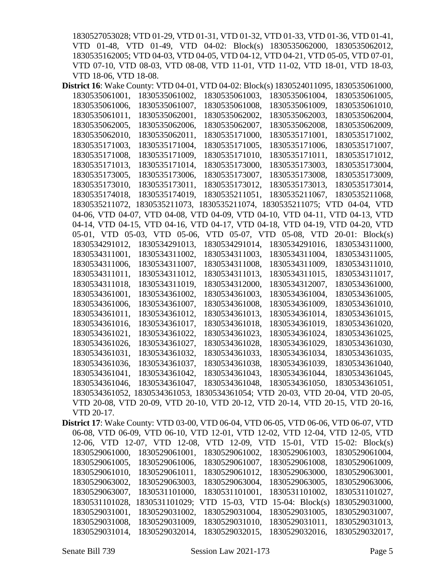1830527053028; VTD 01-29, VTD 01-31, VTD 01-32, VTD 01-33, VTD 01-36, VTD 01-41, VTD 01-48, VTD 01-49, VTD 04-02: Block(s) 1830535062000, 1830535062012, 1830535162005; VTD 04-03, VTD 04-05, VTD 04-12, VTD 04-21, VTD 05-05, VTD 07-01, VTD 07-10, VTD 08-03, VTD 08-08, VTD 11-01, VTD 11-02, VTD 18-01, VTD 18-03, VTD 18-06, VTD 18-08.

| District 16: Wake County: VTD 04-01, VTD 04-02: Block(s) 1830524011095, 1830535061000,       |
|----------------------------------------------------------------------------------------------|
| 1830535061002,<br>1830535061001,<br>1830535061003,<br>1830535061004,<br>1830535061005,       |
| 1830535061006,<br>1830535061007,<br>1830535061008,<br>1830535061009,<br>1830535061010,       |
| 1830535061011,<br>1830535062001,<br>1830535062002,<br>1830535062003,<br>1830535062004,       |
| 1830535062005,<br>1830535062006,<br>1830535062007,<br>1830535062008.<br>1830535062009,       |
| 1830535062010,<br>1830535062011,<br>1830535171000,<br>1830535171001,<br>1830535171002,       |
| 1830535171003,<br>1830535171004,<br>1830535171005,<br>1830535171006,<br>1830535171007,       |
| 1830535171008,<br>1830535171009,<br>1830535171010,<br>1830535171011,<br>1830535171012,       |
| 1830535171013,<br>1830535171014,<br>1830535173000,<br>1830535173003,<br>1830535173004,       |
| 1830535173005,<br>1830535173006,<br>1830535173007,<br>1830535173008,<br>1830535173009.       |
| 1830535173010,<br>1830535173011,<br>1830535173012,<br>1830535173013,<br>1830535173014,       |
| 1830535174018,<br>1830535174019,<br>1830535211051,<br>1830535211067,<br>1830535211068,       |
| 1830535211072, 1830535211073, 1830535211074, 1830535211075; VTD 04-04, VTD                   |
| 04-06, VTD 04-07, VTD 04-08, VTD 04-09, VTD 04-10, VTD 04-11, VTD 04-13, VTD                 |
| 04-14, VTD 04-15, VTD 04-16, VTD 04-17, VTD 04-18, VTD 04-19, VTD 04-20, VTD                 |
| 05-01, VTD 05-03, VTD 05-06, VTD 05-07, VTD 05-08, VTD<br>$20-01$ : Block(s)                 |
| 1830534291012,<br>1830534291013,<br>1830534291014,<br>1830534291016,<br>1830534311000,       |
| 1830534311001,<br>1830534311002,<br>1830534311003,<br>1830534311004,<br>1830534311005,       |
| 1830534311006,<br>1830534311007,<br>1830534311008,<br>1830534311009.<br>1830534311010,       |
| 1830534311011,<br>1830534311012,<br>1830534311013,<br>1830534311015.<br>1830534311017,       |
| 1830534311018,<br>1830534311019,<br>1830534312000,<br>1830534312007,<br>1830534361000,       |
| 1830534361001,<br>1830534361002,<br>1830534361003,<br>1830534361004,<br>1830534361005,       |
| 1830534361006,<br>1830534361007,<br>1830534361008,<br>1830534361009,<br>1830534361010,       |
| 1830534361011,<br>1830534361012,<br>1830534361013,<br>1830534361014,<br>1830534361015,       |
| 1830534361016,<br>1830534361017,<br>1830534361018,<br>1830534361019,<br>1830534361020,       |
| 1830534361021,<br>1830534361022,<br>1830534361023,<br>1830534361024,<br>1830534361025,       |
| 1830534361026,<br>1830534361027,<br>1830534361028,<br>1830534361029,<br>1830534361030,       |
| 1830534361031,<br>1830534361032,<br>1830534361033,<br>1830534361034,<br>1830534361035,       |
| 1830534361037,<br>1830534361038,<br>1830534361039,<br>1830534361040,<br>1830534361036,       |
| 1830534361041,<br>1830534361042.<br>1830534361043,<br>1830534361044,<br>1830534361045,       |
| 1830534361046.<br>1830534361047.<br>1830534361050,<br>1830534361051,<br>1830534361048,       |
| 1830534361052, 1830534361053, 1830534361054; VTD 20-03, VTD 20-04, VTD 20-05,                |
| VTD 20-08, VTD 20-09, VTD 20-10, VTD 20-12, VTD 20-14, VTD 20-15, VTD 20-16,                 |
| VTD 20-17.                                                                                   |
| <b>District 17</b> : Wake County: VTD 03-00, VTD 06-04, VTD 06-05, VTD 06-06, VTD 06-07, VTD |
| 06-08, VTD 06-09, VTD 06-10, VTD 12-01, VTD 12-02, VTD 12-04, VTD 12-05, VTD                 |
| 12-06, VTD 12-07, VTD 12-08, VTD 12-09, VTD 15-01, VTD 15-02: Block(s)                       |
| 1830529061000, 1830529061001, 1830529061002, 1830529061003, 1830529061004,                   |
| 1830529061005 1830529061006 1830529061007 1830529061008 1830529061009                        |

1830529061005, 1830529061006, 1830529061007, 1830529061008, 1830529061009, 1830529061010, 1830529061011, 1830529061012, 1830529063000, 1830529063001, 1830529063002, 1830529063003, 1830529063004, 1830529063005, 1830529063006, 1830529063007, 1830531101000, 1830531101001, 1830531101002, 1830531101027, 1830531101028, 1830531101029; VTD 15-03, VTD 15-04: Block(s) 1830529031000, 1830529031001, 1830529031002, 1830529031004, 1830529031005, 1830529031007, 1830529031008, 1830529031009, 1830529031010, 1830529031011, 1830529031013, 1830529031014, 1830529032014, 1830529032015, 1830529032016, 1830529032017,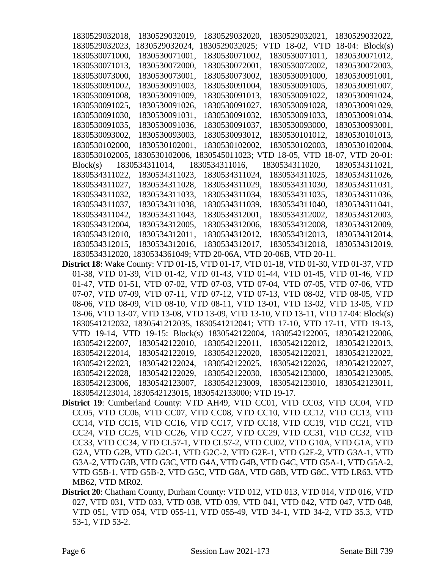| 1830529032018. | 1830529032019,                | 1830529032020,   | 1830529032021,     | 1830529032022,          |
|----------------|-------------------------------|------------------|--------------------|-------------------------|
| 1830529032023, | 1830529032024,                | 830529032025;    | VTD 18-02, VTD     | 18-04: $Block(s)$       |
| 1830530071000. | 1830530071001.                | 1830530071002.   | 1830530071011.     | 1830530071012,          |
| 1830530071013, | 1830530072000,                | 1830530072001,   | 1830530072002.     | 1830530072003,          |
| 1830530073000. | 1830530073001,                | 1830530073002.   | 1830530091000,     | 1830530091001.          |
| 1830530091002, | 1830530091003.                | 1830530091004,   | 1830530091005,     | 1830530091007.          |
| 1830530091008, | 1830530091009,                | 1830530091013.   | 1830530091022,     | 1830530091024,          |
| 1830530091025, | 1830530091026,                | 1830530091027,   | 1830530091028,     | 1830530091029,          |
| 1830530091030. | 1830530091031.                | 1830530091032.   | 1830530091033.     | 1830530091034.          |
| 1830530091035, | 1830530091036,                | 1830530091037,   | 1830530093000,     | 1830530093001,          |
| 1830530093002, | 1830530093003,                | 1830530093012.   | 1830530101012,     | 1830530101013.          |
| 1830530102000. | 1830530102001.                | 1830530102002.   | 1830530102003.     | 1830530102004.          |
| 1830530102005. | 1830530102006,                | 1830545011023; V | TD 18-05, VTD      | $18-07$ , VTD $20-01$ : |
| Block(s)       | 1830534311014,                | 1830534311016.   | 1830534311020,     | 1830534311021,          |
| 1830534311022. | 1830534311023,                | 1830534311024,   | 1830534311025,     | 1830534311026,          |
| 1830534311027. | 1830534311028,                | 1830534311029,   | 1830534311030,     | 1830534311031,          |
| 1830534311032, | 1830534311033,                | 1830534311034,   | 1830534311035,     | 1830534311036,          |
| 1830534311037, | 1830534311038,                | 1830534311039,   | 1830534311040,     | 1830534311041,          |
| 1830534311042, | 1830534311043,                | 1830534312001,   | 1830534312002,     | 1830534312003,          |
| 1830534312004, | 1830534312005,                | 1830534312006,   | 1830534312008,     | 1830534312009,          |
| 1830534312010, | 1830534312011,                | 1830534312012,   | 1830534312013,     | 1830534312014,          |
| 1830534312015. | 1830534312016.                | 1830534312017,   | 1830534312018,     | 1830534312019,          |
|                | 1830534312020, 1830534361049; | TD 20-06A, VTD   | 20-06B, VTD 20-11. |                         |

- **District 18**: Wake County: VTD 01-15, VTD 01-17, VTD 01-18, VTD 01-30, VTD 01-37, VTD 01-38, VTD 01-39, VTD 01-42, VTD 01-43, VTD 01-44, VTD 01-45, VTD 01-46, VTD 01-47, VTD 01-51, VTD 07-02, VTD 07-03, VTD 07-04, VTD 07-05, VTD 07-06, VTD 07-07, VTD 07-09, VTD 07-11, VTD 07-12, VTD 07-13, VTD 08-02, VTD 08-05, VTD 08-06, VTD 08-09, VTD 08-10, VTD 08-11, VTD 13-01, VTD 13-02, VTD 13-05, VTD 13-06, VTD 13-07, VTD 13-08, VTD 13-09, VTD 13-10, VTD 13-11, VTD 17-04: Block(s) 1830541212032, 1830541212035, 1830541212041; VTD 17-10, VTD 17-11, VTD 19-13, VTD 19-14, VTD 19-15: Block(s) 1830542122004, 1830542122005, 1830542122006, 1830542122007, 1830542122010, 1830542122011, 1830542122012, 1830542122013, 1830542122014, 1830542122019, 1830542122020, 1830542122021, 1830542122022, 1830542122023, 1830542122024, 1830542122025, 1830542122026, 1830542122027, 1830542122028, 1830542122029, 1830542122030, 1830542123000, 1830542123005, 1830542123006, 1830542123007, 1830542123009, 1830542123010, 1830542123011, 1830542123014, 1830542123015, 1830542133000; VTD 19-17.
- **District 19**: Cumberland County: VTD AH49, VTD CC01, VTD CC03, VTD CC04, VTD CC05, VTD CC06, VTD CC07, VTD CC08, VTD CC10, VTD CC12, VTD CC13, VTD CC14, VTD CC15, VTD CC16, VTD CC17, VTD CC18, VTD CC19, VTD CC21, VTD CC24, VTD CC25, VTD CC26, VTD CC27, VTD CC29, VTD CC31, VTD CC32, VTD CC33, VTD CC34, VTD CL57-1, VTD CL57-2, VTD CU02, VTD G10A, VTD G1A, VTD G2A, VTD G2B, VTD G2C-1, VTD G2C-2, VTD G2E-1, VTD G2E-2, VTD G3A-1, VTD G3A-2, VTD G3B, VTD G3C, VTD G4A, VTD G4B, VTD G4C, VTD G5A-1, VTD G5A-2, VTD G5B-1, VTD G5B-2, VTD G5C, VTD G8A, VTD G8B, VTD G8C, VTD LR63, VTD MB62, VTD MR02.
- **District 20**: Chatham County, Durham County: VTD 012, VTD 013, VTD 014, VTD 016, VTD 027, VTD 031, VTD 033, VTD 038, VTD 039, VTD 041, VTD 042, VTD 047, VTD 048, VTD 051, VTD 054, VTD 055-11, VTD 055-49, VTD 34-1, VTD 34-2, VTD 35.3, VTD 53-1, VTD 53-2.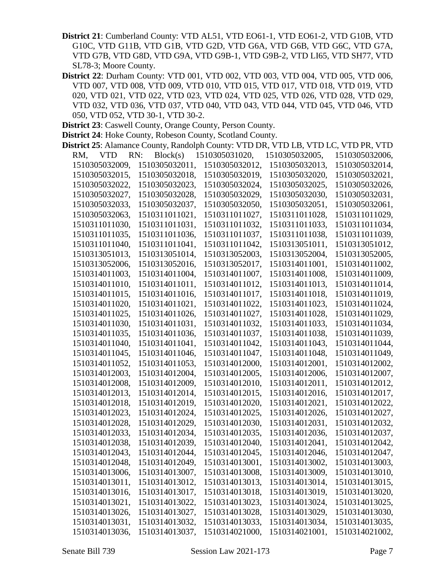**District 21**: Cumberland County: VTD AL51, VTD EO61-1, VTD EO61-2, VTD G10B, VTD G10C, VTD G11B, VTD G1B, VTD G2D, VTD G6A, VTD G6B, VTD G6C, VTD G7A, VTD G7B, VTD G8D, VTD G9A, VTD G9B-1, VTD G9B-2, VTD LI65, VTD SH77, VTD SL78-3; Moore County.

**District 22**: Durham County: VTD 001, VTD 002, VTD 003, VTD 004, VTD 005, VTD 006, VTD 007, VTD 008, VTD 009, VTD 010, VTD 015, VTD 017, VTD 018, VTD 019, VTD 020, VTD 021, VTD 022, VTD 023, VTD 024, VTD 025, VTD 026, VTD 028, VTD 029, VTD 032, VTD 036, VTD 037, VTD 040, VTD 043, VTD 044, VTD 045, VTD 046, VTD 050, VTD 052, VTD 30-1, VTD 30-2.

**District 23**: Caswell County, Orange County, Person County.

**District 24**: Hoke County, Robeson County, Scotland County.

| District 25: Alamance County, Randolph County: VTD DR, VTD LB, VTD LC, VTD PR, VTD |                 |                |                |                |
|------------------------------------------------------------------------------------|-----------------|----------------|----------------|----------------|
| <b>VTD</b><br>RM,                                                                  | RN:<br>Block(s) | 1510305031020, | 1510305032005, | 1510305032006, |
| 1510305032009,                                                                     | 1510305032011,  | 1510305032012, | 1510305032013, | 1510305032014, |
| 1510305032015,                                                                     | 1510305032018,  | 1510305032019, | 1510305032020, | 1510305032021, |
| 1510305032022,                                                                     | 1510305032023,  | 1510305032024, | 1510305032025, | 1510305032026, |
| 1510305032027,                                                                     | 1510305032028,  | 1510305032029, | 1510305032030, | 1510305032031, |
| 1510305032033,                                                                     | 1510305032037,  | 1510305032050, | 1510305032051, | 1510305032061, |
| 1510305032063,                                                                     | 1510311011021,  | 1510311011027, | 1510311011028, | 1510311011029, |
| 1510311011030,                                                                     | 1510311011031,  | 1510311011032, | 1510311011033, | 1510311011034, |
| 1510311011035,                                                                     | 1510311011036,  | 1510311011037, | 1510311011038, | 1510311011039, |
| 1510311011040,                                                                     | 1510311011041,  | 1510311011042, | 1510313051011, | 1510313051012, |
| 1510313051013,                                                                     | 1510313051014,  | 1510313052003, | 1510313052004, | 1510313052005, |
| 1510313052006,                                                                     | 1510313052016,  | 1510313052017, | 1510314011001, | 1510314011002, |
| 1510314011003,                                                                     | 1510314011004,  | 1510314011007, | 1510314011008, | 1510314011009, |
| 1510314011010,                                                                     | 1510314011011,  | 1510314011012, | 1510314011013, | 1510314011014, |
| 1510314011015,                                                                     | 1510314011016,  | 1510314011017, | 1510314011018, | 1510314011019, |
| 1510314011020,                                                                     | 1510314011021,  | 1510314011022, | 1510314011023, | 1510314011024, |
| 1510314011025,                                                                     | 1510314011026,  | 1510314011027, | 1510314011028, | 1510314011029. |
| 1510314011030,                                                                     | 1510314011031,  | 1510314011032, | 1510314011033, | 1510314011034, |
| 1510314011035,                                                                     | 1510314011036,  | 1510314011037. | 1510314011038, | 1510314011039, |
| 1510314011040,                                                                     | 1510314011041,  | 1510314011042, | 1510314011043, | 1510314011044, |
| 1510314011045,                                                                     | 1510314011046,  | 1510314011047, | 1510314011048, | 1510314011049, |
| 1510314011052,                                                                     | 1510314011053,  | 1510314012000, | 1510314012001, | 1510314012002, |
| 1510314012003,                                                                     | 1510314012004,  | 1510314012005, | 1510314012006, | 1510314012007, |
| 1510314012008,                                                                     | 1510314012009,  | 1510314012010, | 1510314012011, | 1510314012012, |
| 1510314012013,                                                                     | 1510314012014,  | 1510314012015, | 1510314012016, | 1510314012017, |
| 1510314012018,                                                                     | 1510314012019,  | 1510314012020, | 1510314012021, | 1510314012022, |
| 1510314012023,                                                                     | 1510314012024,  | 1510314012025, | 1510314012026, | 1510314012027, |
| 1510314012028,                                                                     | 1510314012029,  | 1510314012030, | 1510314012031, | 1510314012032, |
| 1510314012033,                                                                     | 1510314012034,  | 1510314012035, | 1510314012036, | 1510314012037, |
| 1510314012038,                                                                     | 1510314012039,  | 1510314012040, | 1510314012041, | 1510314012042, |
| 1510314012043,                                                                     | 1510314012044,  | 1510314012045, | 1510314012046, | 1510314012047, |
| 1510314012048,                                                                     | 1510314012049,  | 1510314013001, | 1510314013002, | 1510314013003, |
| 1510314013006,                                                                     | 1510314013007,  | 1510314013008, | 1510314013009, | 1510314013010, |
| 1510314013011,                                                                     | 1510314013012,  | 1510314013013, | 1510314013014, | 1510314013015, |
| 1510314013016,                                                                     | 1510314013017,  | 1510314013018, | 1510314013019, | 1510314013020, |
| 1510314013021,                                                                     | 1510314013022,  | 1510314013023, | 1510314013024, | 1510314013025, |
| 1510314013026,                                                                     | 1510314013027,  | 1510314013028, | 1510314013029, | 1510314013030, |
| 1510314013031,                                                                     | 1510314013032,  | 1510314013033, | 1510314013034, | 1510314013035, |
| 1510314013036,                                                                     | 1510314013037,  | 1510314021000, | 1510314021001, | 1510314021002, |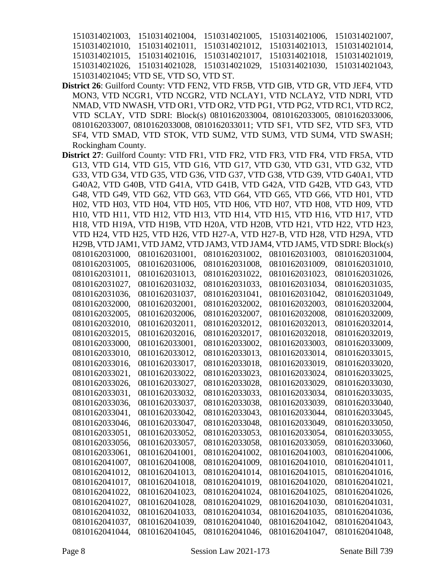|                                        | 1510314021003, 1510314021004, 1510314021005, 1510314021006, 1510314021007, |  |
|----------------------------------------|----------------------------------------------------------------------------|--|
|                                        | 1510314021010, 1510314021011, 1510314021012, 1510314021013, 1510314021014, |  |
|                                        | 1510314021015, 1510314021016, 1510314021017, 1510314021018, 1510314021019, |  |
|                                        | 1510314021026, 1510314021028, 1510314021029, 1510314021030, 1510314021043, |  |
| 1510314021045; VTD SE, VTD SO, VTD ST. |                                                                            |  |

- **District 26**: Guilford County: VTD FEN2, VTD FR5B, VTD GIB, VTD GR, VTD JEF4, VTD MON3, VTD NCGR1, VTD NCGR2, VTD NCLAY1, VTD NCLAY2, VTD NDRI, VTD NMAD, VTD NWASH, VTD OR1, VTD OR2, VTD PG1, VTD PG2, VTD RC1, VTD RC2, VTD SCLAY, VTD SDRI: Block(s) 0810162033004, 0810162033005, 0810162033006, 0810162033007, 0810162033008, 0810162033011; VTD SF1, VTD SF2, VTD SF3, VTD SF4, VTD SMAD, VTD STOK, VTD SUM2, VTD SUM3, VTD SUM4, VTD SWASH; Rockingham County.
- **District 27**: Guilford County: VTD FR1, VTD FR2, VTD FR3, VTD FR4, VTD FR5A, VTD G13, VTD G14, VTD G15, VTD G16, VTD G17, VTD G30, VTD G31, VTD G32, VTD G33, VTD G34, VTD G35, VTD G36, VTD G37, VTD G38, VTD G39, VTD G40A1, VTD G40A2, VTD G40B, VTD G41A, VTD G41B, VTD G42A, VTD G42B, VTD G43, VTD G48, VTD G49, VTD G62, VTD G63, VTD G64, VTD G65, VTD G66, VTD H01, VTD H02, VTD H03, VTD H04, VTD H05, VTD H06, VTD H07, VTD H08, VTD H09, VTD H10, VTD H11, VTD H12, VTD H13, VTD H14, VTD H15, VTD H16, VTD H17, VTD H18, VTD H19A, VTD H19B, VTD H20A, VTD H20B, VTD H21, VTD H22, VTD H23, VTD H24, VTD H25, VTD H26, VTD H27-A, VTD H27-B, VTD H28, VTD H29A, VTD H29B, VTD JAM1, VTD JAM2, VTD JAM3, VTD JAM4, VTD JAM5, VTD SDRI: Block(s) 0810162031000, 0810162031001, 0810162031002, 0810162031003, 0810162031004, 0810162031005, 0810162031006, 0810162031008, 0810162031009, 0810162031010, 0810162031011, 0810162031013, 0810162031022, 0810162031023, 0810162031026, 0810162031027, 0810162031032, 0810162031033, 0810162031034, 0810162031035, 0810162031036, 0810162031037, 0810162031041, 0810162031042, 0810162031049, 0810162032000, 0810162032001, 0810162032002, 0810162032003, 0810162032004, 0810162032005, 0810162032006, 0810162032007, 0810162032008, 0810162032009, 0810162032010, 0810162032011, 0810162032012, 0810162032013, 0810162032014, 0810162032015, 0810162032016, 0810162032017, 0810162032018, 0810162032019, 0810162033000, 0810162033001, 0810162033002, 0810162033003, 0810162033009, 0810162033010, 0810162033012, 0810162033013, 0810162033014, 0810162033015, 0810162033016, 0810162033017, 0810162033018, 0810162033019, 0810162033020, 0810162033021, 0810162033022, 0810162033023, 0810162033024, 0810162033025, 0810162033026, 0810162033027, 0810162033028, 0810162033029, 0810162033030, 0810162033031, 0810162033032, 0810162033033, 0810162033034, 0810162033035, 0810162033036, 0810162033037, 0810162033038, 0810162033039, 0810162033040, 0810162033041, 0810162033042, 0810162033043, 0810162033044, 0810162033045, 0810162033046, 0810162033047, 0810162033048, 0810162033049, 0810162033050, 0810162033051, 0810162033052, 0810162033053, 0810162033054, 0810162033055, 0810162033056, 0810162033057, 0810162033058, 0810162033059, 0810162033060, 0810162033061, 0810162041001, 0810162041002, 0810162041003, 0810162041006, 0810162041007, 0810162041008, 0810162041009, 0810162041010, 0810162041011, 0810162041012, 0810162041013, 0810162041014, 0810162041015, 0810162041016, 0810162041017, 0810162041018, 0810162041019, 0810162041020, 0810162041021, 0810162041022, 0810162041023, 0810162041024, 0810162041025, 0810162041026, 0810162041027, 0810162041028, 0810162041029, 0810162041030, 0810162041031, 0810162041032, 0810162041033, 0810162041034, 0810162041035, 0810162041036, 0810162041037, 0810162041039, 0810162041040, 0810162041042, 0810162041043, 0810162041044, 0810162041045, 0810162041046, 0810162041047, 0810162041048,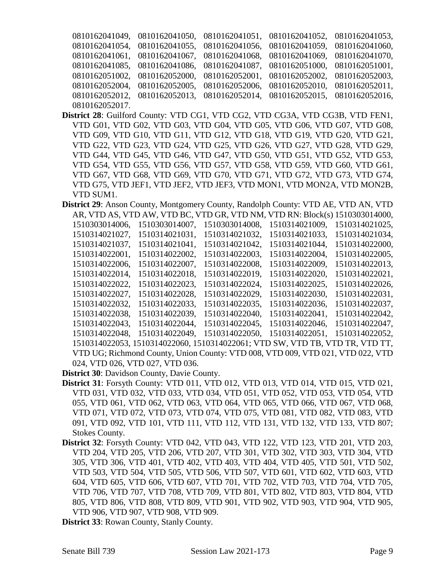|                |  | 0810162041049, 0810162041050, 0810162041051, 0810162041052, 0810162041053, |  |
|----------------|--|----------------------------------------------------------------------------|--|
|                |  | 0810162041054, 0810162041055, 0810162041056, 0810162041059, 0810162041060, |  |
|                |  | 0810162041061, 0810162041067, 0810162041068, 0810162041069, 0810162041070, |  |
|                |  | 0810162041085, 0810162041086, 0810162041087, 0810162051000, 0810162051001, |  |
|                |  | 0810162051002, 0810162052000, 0810162052001, 0810162052002, 0810162052003, |  |
|                |  | 0810162052004, 0810162052005, 0810162052006, 0810162052010, 0810162052011, |  |
|                |  | 0810162052012, 0810162052013, 0810162052014, 0810162052015, 0810162052016, |  |
| 0810162052017. |  |                                                                            |  |

- **District 28**: Guilford County: VTD CG1, VTD CG2, VTD CG3A, VTD CG3B, VTD FEN1, VTD G01, VTD G02, VTD G03, VTD G04, VTD G05, VTD G06, VTD G07, VTD G08, VTD G09, VTD G10, VTD G11, VTD G12, VTD G18, VTD G19, VTD G20, VTD G21, VTD G22, VTD G23, VTD G24, VTD G25, VTD G26, VTD G27, VTD G28, VTD G29, VTD G44, VTD G45, VTD G46, VTD G47, VTD G50, VTD G51, VTD G52, VTD G53, VTD G54, VTD G55, VTD G56, VTD G57, VTD G58, VTD G59, VTD G60, VTD G61, VTD G67, VTD G68, VTD G69, VTD G70, VTD G71, VTD G72, VTD G73, VTD G74, VTD G75, VTD JEF1, VTD JEF2, VTD JEF3, VTD MON1, VTD MON2A, VTD MON2B, VTD SUM1.
- **District 29**: Anson County, Montgomery County, Randolph County: VTD AE, VTD AN, VTD AR, VTD AS, VTD AW, VTD BC, VTD GR, VTD NM, VTD RN: Block(s) 1510303014000, 1510303014006, 1510303014007, 1510303014008, 1510314021009, 1510314021025, 1510314021027, 1510314021031, 1510314021032, 1510314021033, 1510314021034, 1510314021037, 1510314021041, 1510314021042, 1510314021044, 1510314022000, 1510314022001, 1510314022002, 1510314022003, 1510314022004, 1510314022005, 1510314022006, 1510314022007, 1510314022008, 1510314022009, 1510314022013, 1510314022014, 1510314022018, 1510314022019, 1510314022020, 1510314022021, 1510314022022, 1510314022023, 1510314022024, 1510314022025, 1510314022026, 1510314022027, 1510314022028, 1510314022029, 1510314022030, 1510314022031, 1510314022032, 1510314022033, 1510314022035, 1510314022036, 1510314022037, 1510314022038, 1510314022039, 1510314022040, 1510314022041, 1510314022042, 1510314022043, 1510314022044, 1510314022045, 1510314022046, 1510314022047, 1510314022048, 1510314022049, 1510314022050, 1510314022051, 1510314022052, 1510314022053, 1510314022060, 1510314022061; VTD SW, VTD TB, VTD TR, VTD TT, VTD UG; Richmond County, Union County: VTD 008, VTD 009, VTD 021, VTD 022, VTD 024, VTD 026, VTD 027, VTD 036.
- **District 30**: Davidson County, Davie County.
- **District 31**: Forsyth County: VTD 011, VTD 012, VTD 013, VTD 014, VTD 015, VTD 021, VTD 031, VTD 032, VTD 033, VTD 034, VTD 051, VTD 052, VTD 053, VTD 054, VTD 055, VTD 061, VTD 062, VTD 063, VTD 064, VTD 065, VTD 066, VTD 067, VTD 068, VTD 071, VTD 072, VTD 073, VTD 074, VTD 075, VTD 081, VTD 082, VTD 083, VTD 091, VTD 092, VTD 101, VTD 111, VTD 112, VTD 131, VTD 132, VTD 133, VTD 807; Stokes County.
- **District 32**: Forsyth County: VTD 042, VTD 043, VTD 122, VTD 123, VTD 201, VTD 203, VTD 204, VTD 205, VTD 206, VTD 207, VTD 301, VTD 302, VTD 303, VTD 304, VTD 305, VTD 306, VTD 401, VTD 402, VTD 403, VTD 404, VTD 405, VTD 501, VTD 502, VTD 503, VTD 504, VTD 505, VTD 506, VTD 507, VTD 601, VTD 602, VTD 603, VTD 604, VTD 605, VTD 606, VTD 607, VTD 701, VTD 702, VTD 703, VTD 704, VTD 705, VTD 706, VTD 707, VTD 708, VTD 709, VTD 801, VTD 802, VTD 803, VTD 804, VTD 805, VTD 806, VTD 808, VTD 809, VTD 901, VTD 902, VTD 903, VTD 904, VTD 905, VTD 906, VTD 907, VTD 908, VTD 909.

**District 33**: Rowan County, Stanly County.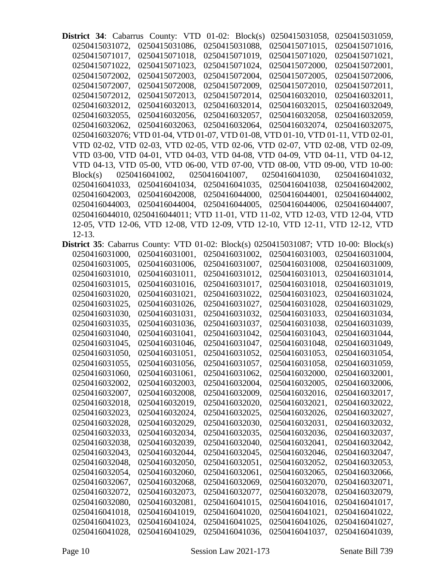**District 34**: Cabarrus County: VTD 01-02: Block(s) 0250415031058, 0250415031059, 0250415031072, 0250415031086, 0250415031088, 0250415071015, 0250415071016, 0250415071017, 0250415071018, 0250415071019, 0250415071020, 0250415071021, 0250415071022, 0250415071023, 0250415071024, 0250415072000, 0250415072001, 0250415072002, 0250415072003, 0250415072004, 0250415072005, 0250415072006, 0250415072007, 0250415072008, 0250415072009, 0250415072010, 0250415072011, 0250415072012, 0250415072013, 0250415072014, 0250416032010, 0250416032011, 0250416032012, 0250416032013, 0250416032014, 0250416032015, 0250416032049, 0250416032055, 0250416032056, 0250416032057, 0250416032058, 0250416032059, 0250416032062, 0250416032063, 0250416032064, 0250416032074, 0250416032075, 0250416032076; VTD 01-04, VTD 01-07, VTD 01-08, VTD 01-10, VTD 01-11, VTD 02-01, VTD 02-02, VTD 02-03, VTD 02-05, VTD 02-06, VTD 02-07, VTD 02-08, VTD 02-09, VTD 03-00, VTD 04-01, VTD 04-03, VTD 04-08, VTD 04-09, VTD 04-11, VTD 04-12, VTD 04-13, VTD 05-00, VTD 06-00, VTD 07-00, VTD 08-00, VTD 09-00, VTD 10-00: Block(s) 0250416041002, 0250416041007, 0250416041030, 0250416041032, 0250416041033, 0250416041034, 0250416041035, 0250416041038, 0250416042002, 0250416042003, 0250416042008, 0250416044000, 0250416044001, 0250416044002, 0250416044003, 0250416044004, 0250416044005, 0250416044006, 0250416044007, 0250416044010, 0250416044011; VTD 11-01, VTD 11-02, VTD 12-03, VTD 12-04, VTD 12-05, VTD 12-06, VTD 12-08, VTD 12-09, VTD 12-10, VTD 12-11, VTD 12-12, VTD 12-13.

**District 35**: Cabarrus County: VTD 01-02: Block(s) 0250415031087; VTD 10-00: Block(s) 0250416031000, 0250416031001, 0250416031002, 0250416031003, 0250416031004, 0250416031005, 0250416031006, 0250416031007, 0250416031008, 0250416031009, 0250416031010, 0250416031011, 0250416031012, 0250416031013, 0250416031014, 0250416031015, 0250416031016, 0250416031017, 0250416031018, 0250416031019, 0250416031020, 0250416031021, 0250416031022, 0250416031023, 0250416031024, 0250416031025, 0250416031026, 0250416031027, 0250416031028, 0250416031029, 0250416031030, 0250416031031, 0250416031032, 0250416031033, 0250416031034, 0250416031035, 0250416031036, 0250416031037, 0250416031038, 0250416031039, 0250416031040, 0250416031041, 0250416031042, 0250416031043, 0250416031044, 0250416031045, 0250416031046, 0250416031047, 0250416031048, 0250416031049, 0250416031050, 0250416031051, 0250416031052, 0250416031053, 0250416031054, 0250416031055, 0250416031056, 0250416031057, 0250416031058, 0250416031059, 0250416031060, 0250416031061, 0250416031062, 0250416032000, 0250416032001, 0250416032002, 0250416032003, 0250416032004, 0250416032005, 0250416032006, 0250416032007, 0250416032008, 0250416032009, 0250416032016, 0250416032017, 0250416032018, 0250416032019, 0250416032020, 0250416032021, 0250416032022, 0250416032023, 0250416032024, 0250416032025, 0250416032026, 0250416032027, 0250416032028, 0250416032029, 0250416032030, 0250416032031, 0250416032032, 0250416032033, 0250416032034, 0250416032035, 0250416032036, 0250416032037, 0250416032038, 0250416032039, 0250416032040, 0250416032041, 0250416032042, 0250416032043, 0250416032044, 0250416032045, 0250416032046, 0250416032047, 0250416032048, 0250416032050, 0250416032051, 0250416032052, 0250416032053, 0250416032054, 0250416032060, 0250416032061, 0250416032065, 0250416032066, 0250416032067, 0250416032068, 0250416032069, 0250416032070, 0250416032071, 0250416032072, 0250416032073, 0250416032077, 0250416032078, 0250416032079, 0250416032080, 0250416032081, 0250416041015, 0250416041016, 0250416041017, 0250416041018, 0250416041019, 0250416041020, 0250416041021, 0250416041022, 0250416041023, 0250416041024, 0250416041025, 0250416041026, 0250416041027, 0250416041028, 0250416041029, 0250416041036, 0250416041037, 0250416041039,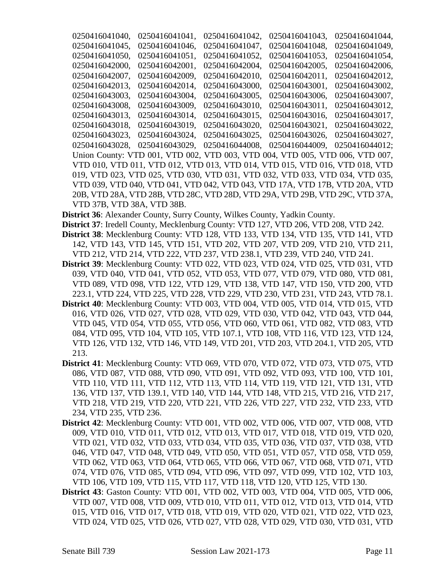0250416041040, 0250416041041, 0250416041042, 0250416041043, 0250416041044, 0250416041045, 0250416041046, 0250416041047, 0250416041048, 0250416041049, 0250416041050, 0250416041051, 0250416041052, 0250416041053, 0250416041054, 0250416042000, 0250416042001, 0250416042004, 0250416042005, 0250416042006, 0250416042007, 0250416042009, 0250416042010, 0250416042011, 0250416042012, 0250416042013, 0250416042014, 0250416043000, 0250416043001, 0250416043002, 0250416043003, 0250416043004, 0250416043005, 0250416043006, 0250416043007, 0250416043008, 0250416043009, 0250416043010, 0250416043011, 0250416043012, 0250416043013, 0250416043014, 0250416043015, 0250416043016, 0250416043017, 0250416043018, 0250416043019, 0250416043020, 0250416043021, 0250416043022, 0250416043023, 0250416043024, 0250416043025, 0250416043026, 0250416043027, 0250416043028, 0250416043029, 0250416044008, 0250416044009, 0250416044012; Union County: VTD 001, VTD 002, VTD 003, VTD 004, VTD 005, VTD 006, VTD 007, VTD 010, VTD 011, VTD 012, VTD 013, VTD 014, VTD 015, VTD 016, VTD 018, VTD 019, VTD 023, VTD 025, VTD 030, VTD 031, VTD 032, VTD 033, VTD 034, VTD 035, VTD 039, VTD 040, VTD 041, VTD 042, VTD 043, VTD 17A, VTD 17B, VTD 20A, VTD 20B, VTD 28A, VTD 28B, VTD 28C, VTD 28D, VTD 29A, VTD 29B, VTD 29C, VTD 37A, VTD 37B, VTD 38A, VTD 38B.

**District 36**: Alexander County, Surry County, Wilkes County, Yadkin County.

- **District 37**: Iredell County, Mecklenburg County: VTD 127, VTD 206, VTD 208, VTD 242.
- **District 38**: Mecklenburg County: VTD 128, VTD 133, VTD 134, VTD 135, VTD 141, VTD 142, VTD 143, VTD 145, VTD 151, VTD 202, VTD 207, VTD 209, VTD 210, VTD 211, VTD 212, VTD 214, VTD 222, VTD 237, VTD 238.1, VTD 239, VTD 240, VTD 241.
- **District 39**: Mecklenburg County: VTD 022, VTD 023, VTD 024, VTD 025, VTD 031, VTD 039, VTD 040, VTD 041, VTD 052, VTD 053, VTD 077, VTD 079, VTD 080, VTD 081, VTD 089, VTD 098, VTD 122, VTD 129, VTD 138, VTD 147, VTD 150, VTD 200, VTD 223.1, VTD 224, VTD 225, VTD 228, VTD 229, VTD 230, VTD 231, VTD 243, VTD 78.1.
- **District 40**: Mecklenburg County: VTD 003, VTD 004, VTD 005, VTD 014, VTD 015, VTD 016, VTD 026, VTD 027, VTD 028, VTD 029, VTD 030, VTD 042, VTD 043, VTD 044, VTD 045, VTD 054, VTD 055, VTD 056, VTD 060, VTD 061, VTD 082, VTD 083, VTD 084, VTD 095, VTD 104, VTD 105, VTD 107.1, VTD 108, VTD 116, VTD 123, VTD 124, VTD 126, VTD 132, VTD 146, VTD 149, VTD 201, VTD 203, VTD 204.1, VTD 205, VTD 213.
- **District 41**: Mecklenburg County: VTD 069, VTD 070, VTD 072, VTD 073, VTD 075, VTD 086, VTD 087, VTD 088, VTD 090, VTD 091, VTD 092, VTD 093, VTD 100, VTD 101, VTD 110, VTD 111, VTD 112, VTD 113, VTD 114, VTD 119, VTD 121, VTD 131, VTD 136, VTD 137, VTD 139.1, VTD 140, VTD 144, VTD 148, VTD 215, VTD 216, VTD 217, VTD 218, VTD 219, VTD 220, VTD 221, VTD 226, VTD 227, VTD 232, VTD 233, VTD 234, VTD 235, VTD 236.
- **District 42**: Mecklenburg County: VTD 001, VTD 002, VTD 006, VTD 007, VTD 008, VTD 009, VTD 010, VTD 011, VTD 012, VTD 013, VTD 017, VTD 018, VTD 019, VTD 020, VTD 021, VTD 032, VTD 033, VTD 034, VTD 035, VTD 036, VTD 037, VTD 038, VTD 046, VTD 047, VTD 048, VTD 049, VTD 050, VTD 051, VTD 057, VTD 058, VTD 059, VTD 062, VTD 063, VTD 064, VTD 065, VTD 066, VTD 067, VTD 068, VTD 071, VTD 074, VTD 076, VTD 085, VTD 094, VTD 096, VTD 097, VTD 099, VTD 102, VTD 103, VTD 106, VTD 109, VTD 115, VTD 117, VTD 118, VTD 120, VTD 125, VTD 130.
- **District 43**: Gaston County: VTD 001, VTD 002, VTD 003, VTD 004, VTD 005, VTD 006, VTD 007, VTD 008, VTD 009, VTD 010, VTD 011, VTD 012, VTD 013, VTD 014, VTD 015, VTD 016, VTD 017, VTD 018, VTD 019, VTD 020, VTD 021, VTD 022, VTD 023, VTD 024, VTD 025, VTD 026, VTD 027, VTD 028, VTD 029, VTD 030, VTD 031, VTD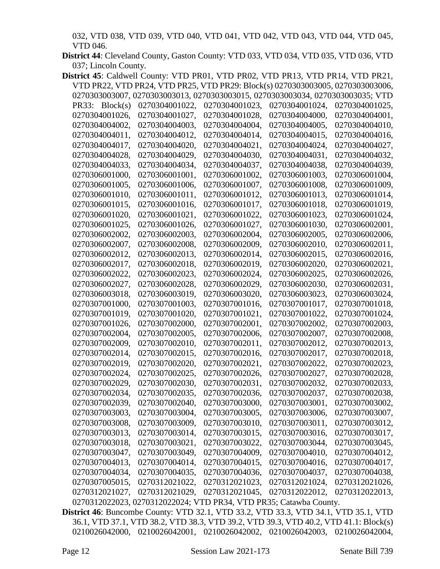032, VTD 038, VTD 039, VTD 040, VTD 041, VTD 042, VTD 043, VTD 044, VTD 045, VTD 046.

**District 44**: Cleveland County, Gaston County: VTD 033, VTD 034, VTD 035, VTD 036, VTD 037; Lincoln County.

| District 45: Caldwell County: VTD PR01, VTD PR02, VTD PR13, VTD PR14, VTD PR21, |                                                                                |                |                |                |
|---------------------------------------------------------------------------------|--------------------------------------------------------------------------------|----------------|----------------|----------------|
|                                                                                 | VTD PR22, VTD PR24, VTD PR25, VTD PR29: Block(s) 0270303003005, 0270303003006, |                |                |                |
|                                                                                 | 0270303003007, 0270303003013, 0270303003015, 0270303003034, 0270303003035; VTD |                |                |                |
| PR33: Block(s)                                                                  | 0270304001022,                                                                 | 0270304001023, | 0270304001024, | 0270304001025, |
| 0270304001026,                                                                  | 0270304001027,                                                                 | 0270304001028, | 0270304004000, | 0270304004001, |
| 0270304004002,                                                                  | 0270304004003,                                                                 | 0270304004004, | 0270304004005, | 0270304004010, |
| 0270304004011,                                                                  | 0270304004012,                                                                 | 0270304004014, | 0270304004015, | 0270304004016, |
| 0270304004017,                                                                  | 0270304004020,                                                                 | 0270304004021, | 0270304004024, | 0270304004027, |
| 0270304004028,                                                                  | 0270304004029,                                                                 | 0270304004030, | 0270304004031, | 0270304004032, |
| 0270304004033,                                                                  | 0270304004034,                                                                 | 0270304004037, | 0270304004038, | 0270304004039, |
| 0270306001000,                                                                  | 0270306001001,                                                                 | 0270306001002, | 0270306001003, | 0270306001004, |
| 0270306001005,                                                                  | 0270306001006,                                                                 | 0270306001007, | 0270306001008, | 0270306001009, |
| 0270306001010,                                                                  | 0270306001011,                                                                 | 0270306001012, | 0270306001013, | 0270306001014, |
| 0270306001015,                                                                  | 0270306001016,                                                                 | 0270306001017, | 0270306001018, | 0270306001019, |
| 0270306001020,                                                                  | 0270306001021,                                                                 | 0270306001022, | 0270306001023, | 0270306001024, |
| 0270306001025,                                                                  | 0270306001026,                                                                 | 0270306001027, | 0270306001030, | 0270306002001, |
| 0270306002002,                                                                  | 0270306002003,                                                                 | 0270306002004, | 0270306002005, | 0270306002006, |
| 0270306002007,                                                                  | 0270306002008,                                                                 | 0270306002009, | 0270306002010, | 0270306002011, |
| 0270306002012,                                                                  | 0270306002013,                                                                 | 0270306002014, | 0270306002015, | 0270306002016, |
| 0270306002017,                                                                  | 0270306002018,                                                                 | 0270306002019, | 0270306002020, | 0270306002021, |
| 0270306002022,                                                                  | 0270306002023,                                                                 | 0270306002024, | 0270306002025, | 0270306002026, |
| 0270306002027,                                                                  | 0270306002028,                                                                 | 0270306002029, | 0270306002030, | 0270306002031, |
| 0270306003018,                                                                  | 0270306003019,                                                                 | 0270306003020, | 0270306003023, | 0270306003024, |
| 0270307001000,                                                                  | 0270307001003,                                                                 | 0270307001016, | 0270307001017, | 0270307001018, |
| 0270307001019,                                                                  | 0270307001020,                                                                 | 0270307001021, | 0270307001022, | 0270307001024, |
| 0270307001026,                                                                  | 0270307002000,                                                                 | 0270307002001, | 0270307002002, | 0270307002003, |
| 0270307002004,                                                                  | 0270307002005,                                                                 | 0270307002006, | 0270307002007, | 0270307002008, |
| 0270307002009,                                                                  | 0270307002010,                                                                 | 0270307002011, | 0270307002012, | 0270307002013, |
| 0270307002014,                                                                  | 0270307002015,                                                                 | 0270307002016, | 0270307002017, | 0270307002018, |
| 0270307002019,                                                                  | 0270307002020,                                                                 | 0270307002021, | 0270307002022, | 0270307002023, |
| 0270307002024,                                                                  | 0270307002025,                                                                 | 0270307002026, | 0270307002027, | 0270307002028, |
| 0270307002029,                                                                  | 0270307002030,                                                                 | 0270307002031, | 0270307002032, | 0270307002033, |
| 0270307002034,                                                                  | 0270307002035,                                                                 | 0270307002036, | 0270307002037, | 0270307002038, |
| 0270307002039,                                                                  | 0270307002040,                                                                 | 0270307003000, | 0270307003001, | 0270307003002, |
| 0270307003003,                                                                  | 0270307003004,                                                                 | 0270307003005, | 0270307003006, | 0270307003007, |
| 0270307003008,                                                                  | 0270307003009,                                                                 | 0270307003010, | 0270307003011, | 0270307003012, |
| 0270307003013,                                                                  | 0270307003014,                                                                 | 0270307003015, | 0270307003016, | 0270307003017, |
| 0270307003018,                                                                  | 0270307003021,                                                                 | 0270307003022, | 0270307003044, | 0270307003045, |
| 0270307003047,                                                                  | 0270307003049,                                                                 | 0270307004009, | 0270307004010, | 0270307004012, |
| 0270307004013,                                                                  | 0270307004014,                                                                 | 0270307004015, | 0270307004016, | 0270307004017, |
| 0270307004034,                                                                  | 0270307004035,                                                                 | 0270307004036, | 0270307004037, | 0270307004038, |
| 0270307005015,                                                                  | 0270312021022,                                                                 | 0270312021023, | 0270312021024, | 0270312021026, |
| 0270312021027,                                                                  | 0270312021029,                                                                 | 0270312021045, | 0270312022012, | 0270312022013, |
|                                                                                 | 0270312022023, 0270312022024; VTD PR34, VTD PR35; Catawba County.              |                |                |                |

**District 46**: Buncombe County: VTD 32.1, VTD 33.2, VTD 33.3, VTD 34.1, VTD 35.1, VTD 36.1, VTD 37.1, VTD 38.2, VTD 38.3, VTD 39.2, VTD 39.3, VTD 40.2, VTD 41.1: Block(s) 0210026042000, 0210026042001, 0210026042002, 0210026042003, 0210026042004,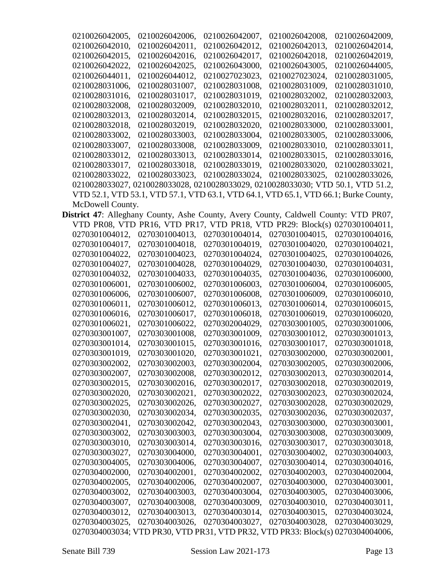| 0210026042005,   | 0210026042006, | 0210026042007, | 0210026042008,                                                                      | 0210026042009, |
|------------------|----------------|----------------|-------------------------------------------------------------------------------------|----------------|
| 0210026042010,   | 0210026042011, | 0210026042012, | 0210026042013.                                                                      | 0210026042014, |
| 0210026042015.   | 0210026042016. | 0210026042017, | 0210026042018,                                                                      | 0210026042019. |
| 0210026042022.   | 0210026042025, | 0210026043000, | 0210026043005,                                                                      | 0210026044005. |
| 0210026044011,   | 0210026044012. | 0210027023023. | 0210027023024,                                                                      | 0210028031005. |
| 0210028031006,   | 0210028031007, | 0210028031008, | 0210028031009,                                                                      | 0210028031010, |
| 0210028031016.   | 0210028031017. | 0210028031019. | 0210028032002,                                                                      | 0210028032003. |
| 0210028032008.   | 0210028032009. | 0210028032010. | 0210028032011.                                                                      | 0210028032012. |
| 0210028032013,   | 0210028032014, | 0210028032015, | 0210028032016.                                                                      | 0210028032017. |
| 0210028032018.   | 0210028032019, | 0210028032020, | 0210028033000,                                                                      | 0210028033001, |
| 0210028033002,   | 0210028033003, | 0210028033004, | 0210028033005,                                                                      | 0210028033006, |
| 0210028033007.   | 0210028033008. | 0210028033009. | 0210028033010.                                                                      | 0210028033011, |
| 0210028033012.   | 0210028033013. | 0210028033014, | 0210028033015.                                                                      | 0210028033016. |
| 0210028033017.   | 0210028033018. | 0210028033019. | 0210028033020,                                                                      | 0210028033021. |
| 0210028033022.   | 0210028033023, | 0210028033024, | 0210028033025,                                                                      | 0210028033026, |
|                  |                |                | 0210028033027, 0210028033028, 0210028033029, 0210028033030; VTD 50.1, VTD 51.2,     |                |
|                  |                |                | VTD 52.1, VTD 53.1, VTD 57.1, VTD 63.1, VTD 64.1, VTD 65.1, VTD 66.1; Burke County, |                |
| McDowell County. |                |                |                                                                                     |                |

|                | District 47: Alleghany County, Ashe County, Avery County, Caldwell County: VTD PR07, |                |                |                |
|----------------|--------------------------------------------------------------------------------------|----------------|----------------|----------------|
|                | VTD PR08, VTD PR16, VTD PR17, VTD PR18, VTD PR29: Block(s) 0270301004011,            |                |                |                |
| 0270301004012, | 0270301004013,                                                                       | 0270301004014, | 0270301004015, | 0270301004016, |
| 0270301004017, | 0270301004018,                                                                       | 0270301004019, | 0270301004020, | 0270301004021, |
| 0270301004022. | 0270301004023,                                                                       | 0270301004024, | 0270301004025, | 0270301004026, |
| 0270301004027, | 0270301004028,                                                                       | 0270301004029, | 0270301004030, | 0270301004031, |
| 0270301004032, | 0270301004033,                                                                       | 0270301004035, | 0270301004036, | 0270301006000, |
| 0270301006001, | 0270301006002,                                                                       | 0270301006003, | 0270301006004, | 0270301006005, |
| 0270301006006, | 0270301006007,                                                                       | 0270301006008, | 0270301006009, | 0270301006010, |
| 0270301006011, | 0270301006012,                                                                       | 0270301006013, | 0270301006014, | 0270301006015, |
| 0270301006016, | 0270301006017,                                                                       | 0270301006018, | 0270301006019, | 0270301006020, |
| 0270301006021, | 0270301006022,                                                                       | 0270302004029, | 0270303001005, | 0270303001006, |
| 0270303001007, | 0270303001008,                                                                       | 0270303001009, | 0270303001012, | 0270303001013, |
| 0270303001014, | 0270303001015,                                                                       | 0270303001016, | 0270303001017, | 0270303001018, |
| 0270303001019, | 0270303001020,                                                                       | 0270303001021, | 0270303002000, | 0270303002001, |
| 0270303002002, | 0270303002003,                                                                       | 0270303002004, | 0270303002005, | 0270303002006, |
| 0270303002007, | 0270303002008,                                                                       | 0270303002012, | 0270303002013, | 0270303002014, |
| 0270303002015, | 0270303002016,                                                                       | 0270303002017, | 0270303002018, | 0270303002019, |
| 0270303002020, | 0270303002021,                                                                       | 0270303002022, | 0270303002023, | 0270303002024, |
| 0270303002025, | 0270303002026,                                                                       | 0270303002027, | 0270303002028, | 0270303002029, |
| 0270303002030, | 0270303002034,                                                                       | 0270303002035, | 0270303002036, | 0270303002037, |
| 0270303002041, | 0270303002042,                                                                       | 0270303002043, | 0270303003000, | 0270303003001, |
| 0270303003002. | 0270303003003,                                                                       | 0270303003004, | 0270303003008. | 0270303003009. |
| 0270303003010, | 0270303003014,                                                                       | 0270303003016, | 0270303003017, | 0270303003018, |
| 0270303003027, | 0270303004000,                                                                       | 0270303004001, | 0270303004002, | 0270303004003, |
| 0270303004005, | 0270303004006,                                                                       | 0270303004007, | 0270303004014, | 0270303004016, |
| 0270304002000, | 0270304002001,                                                                       | 0270304002002. | 0270304002003. | 0270304002004, |
| 0270304002005, | 0270304002006,                                                                       | 0270304002007, | 0270304003000, | 0270304003001, |
| 0270304003002, | 0270304003003,                                                                       | 0270304003004, | 0270304003005, | 0270304003006, |
| 0270304003007, | 0270304003008,                                                                       | 0270304003009, | 0270304003010, | 0270304003011, |
| 0270304003012. | 0270304003013,                                                                       | 0270304003014. | 0270304003015, | 0270304003024, |
| 0270304003025, | 0270304003026,                                                                       | 0270304003027, | 0270304003028, | 0270304003029, |
|                | 0270304003034; VTD PR30, VTD PR31, VTD PR32, VTD PR33: Block(s) 0270304004006,       |                |                |                |